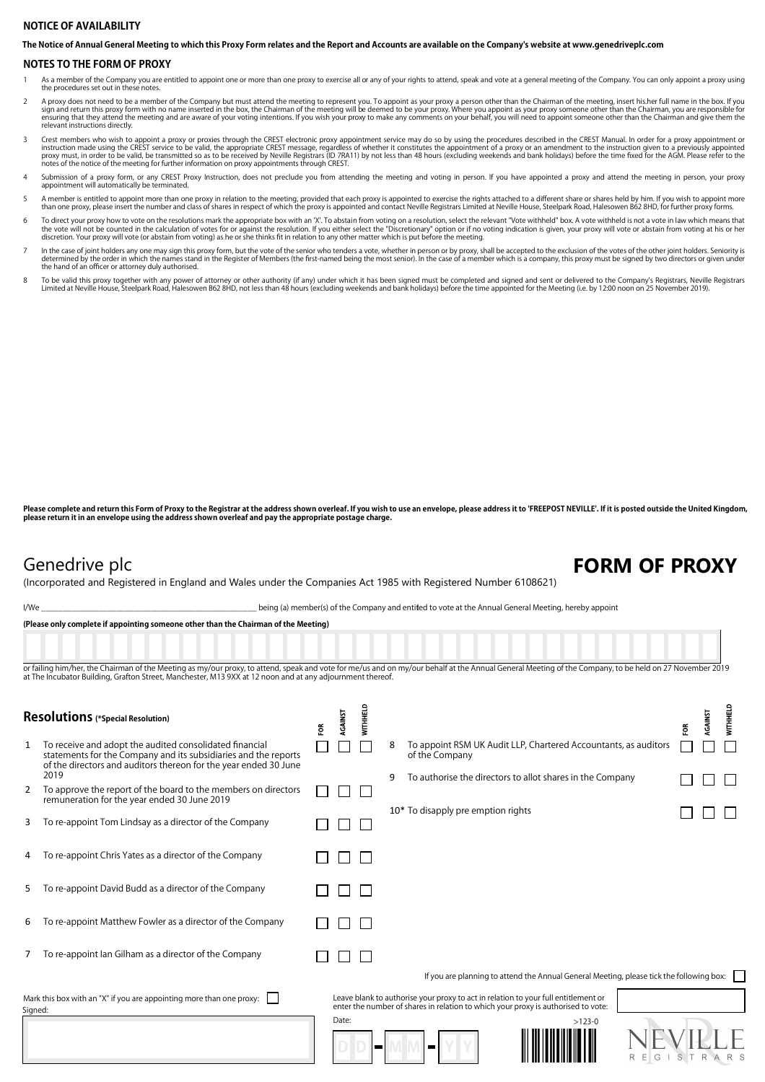## **NOTICE OF AVAILABILITY**

**The Notice of Annual General Meeting to which this Proxy Form relates and the Report and Accounts are available on the Company's website at www.genedriveplc.com**

### **NOTES TO THE FORM OF PROXY**

As a member of the Company you are entitled to appoint one or more than one proxy to exercise all or any of your rights to attend, speak and vote at a general meeting of the Company. You can only appoint a proxy using the procedures set out in these notes.

- A proxy does not need to be a member of the Company but must attend the meeting to represent you. To appoint as your proxy a person other than the Chairman of the meeting, insert his.her full name in the box. If you sign a
- Crest members who wish to appoint a proxy or proxies through the CREST electronic proxy appointment service may do so by using the procedures described in the CREST Manual. In order for a proxy appointment or incruction ma notes of the notice of the meeting for further information on proxy appointments through CREST.
- 4 Submission of a proxy form, or any CREST Proxy Instruction, does not preclude you from attending the meeting and voting in person. If you have appointed a proxy and attend the meeting in person, your proxy appointment will automatically be terminated.
- A member is entitled to appoint more than one proxy in relation to the meeting, provided that each proxy is appointed to exercise the rights attached to a different share or shares held by him. If you wish to appoint more
- To direct your proxy how to vote on the resolutions mark the appropriate box with an 'X'. To abstain from voting on a resolution, select the relevant "Vote witheld" box. A vote withheld is not a vote in law which means tha discretion. Your proxy will vote (or abstain from voting) as he or she thinks fit in relation to any other matter which is put before the meeting.
- In the case of joint holders any one may sign this proxy form, but the vote of the senior who tenders a vote, whether in person or by proxy, shall be accepted to the exclusion of the votes of the other joint holders. Senio the hand of an officer or attorney duly authorised.
- To be valid this proxy together with any power of attorney or other authority (if any) under which it has been signed must be completed and signed and sent or delivered to the Company's Registrars, Neville Registrars<br>Limit

Please complete and return this Form of Proxy to the Registrar at the address shown overleaf. If you wish to use an envelope, please address it to 'FREEPOST NEVILLE'. If it is posted outside the United Kingdom, **please return it in an envelope using the address shown overleaf and pay the appropriate postage charge.**

## Genedrive plc **FORM OF PROXY**

(Incorporated and Registered in England and Wales under the Companies Act 1985 with Registered Number 6108621)

I/We state of the Company and entitled to vote at the Annual General Meeting, hereby appoint

**(Please only complete if appointing someone other than the Chairman of the Meeting)**

or failing him/her, the Chairman of the Meeting as my/our proxy, to attend, speak and vote for me/us and on my/our behalf at the Annual General Meeting of the Company, to be held on 27 November 2019 at The Incubator Building, Grafton Street, Manchester, M13 9XX at 12 noon and at any adjournment thereof

| <b>Resolutions</b> (*Special Resolution)                                        |                                                                                                                                                                                                        |    | AGAINST      | WITHHELD |                | ě                                                                                                                                                                       | RGAINST | <b>WITHHELD</b> |
|---------------------------------------------------------------------------------|--------------------------------------------------------------------------------------------------------------------------------------------------------------------------------------------------------|----|--------------|----------|----------------|-------------------------------------------------------------------------------------------------------------------------------------------------------------------------|---------|-----------------|
|                                                                                 | To receive and adopt the audited consolidated financial<br>statements for the Company and its subsidiaries and the reports<br>of the directors and auditors thereon for the year ended 30 June<br>2019 | ξŘ |              |          | 8              | To appoint RSM UK Audit LLP, Chartered Accountants, as auditors<br>of the Company                                                                                       |         |                 |
| 2                                                                               | To approve the report of the board to the members on directors<br>remuneration for the year ended 30 June 2019                                                                                         |    |              |          | 9              | To authorise the directors to allot shares in the Company                                                                                                               |         |                 |
| 3                                                                               | To re-appoint Tom Lindsay as a director of the Company                                                                                                                                                 |    |              |          |                | 10* To disapply pre emption rights                                                                                                                                      |         |                 |
| 4                                                                               | To re-appoint Chris Yates as a director of the Company                                                                                                                                                 |    | $\mathbf{I}$ |          |                |                                                                                                                                                                         |         |                 |
| 5                                                                               | To re-appoint David Budd as a director of the Company                                                                                                                                                  |    |              |          |                |                                                                                                                                                                         |         |                 |
| 6                                                                               | To re-appoint Matthew Fowler as a director of the Company                                                                                                                                              |    |              |          |                |                                                                                                                                                                         |         |                 |
|                                                                                 | To re-appoint lan Gilham as a director of the Company                                                                                                                                                  |    |              |          |                |                                                                                                                                                                         |         |                 |
|                                                                                 |                                                                                                                                                                                                        |    |              |          |                | If you are planning to attend the Annual General Meeting, please tick the following box:                                                                                |         |                 |
| Mark this box with an "X" if you are appointing more than one proxy:<br>Signed: |                                                                                                                                                                                                        |    |              |          |                | Leave blank to authorise your proxy to act in relation to your full entitlement or<br>enter the number of shares in relation to which your proxy is authorised to vote: |         |                 |
|                                                                                 |                                                                                                                                                                                                        |    | Date:        |          | $\blacksquare$ | $>123-0$<br>R<br>G                                                                                                                                                      |         |                 |